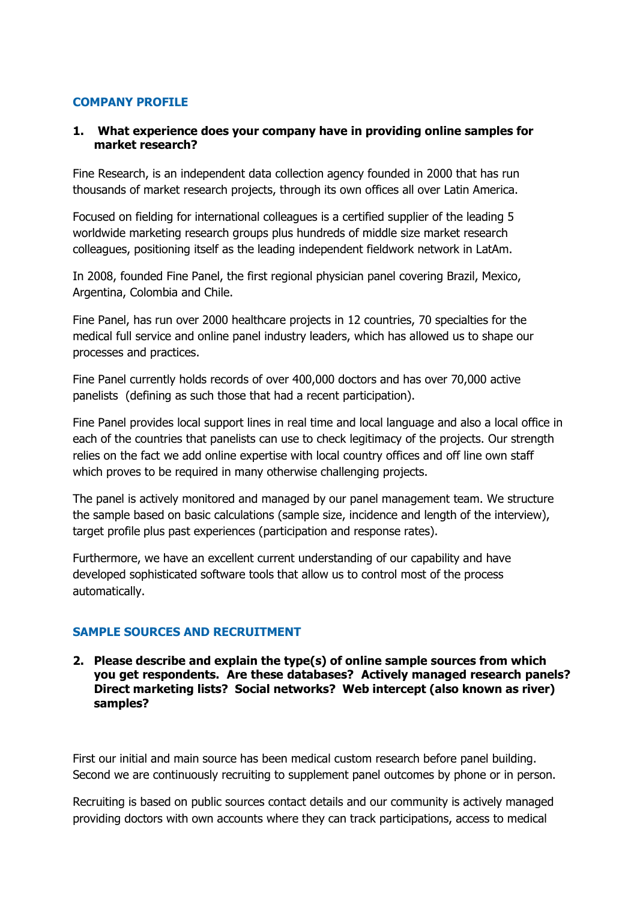# **COMPANY PROFILE**

### **1. What experience does your company have in providing online samples for market research?**

Fine Research, is an independent data collection agency founded in 2000 that has run thousands of market research projects, through its own offices all over Latin America.

Focused on fielding for international colleagues is a certified supplier of the leading 5 worldwide marketing research groups plus hundreds of middle size market research colleagues, positioning itself as the leading independent fieldwork network in LatAm.

In 2008, founded Fine Panel, the first regional physician panel covering Brazil, Mexico, Argentina, Colombia and Chile.

Fine Panel, has run over 2000 healthcare projects in 12 countries, 70 specialties for the medical full service and online panel industry leaders, which has allowed us to shape our processes and practices.

Fine Panel currently holds records of over 400,000 doctors and has over 70,000 active panelists (defining as such those that had a recent participation).

Fine Panel provides local support lines in real time and local language and also a local office in each of the countries that panelists can use to check legitimacy of the projects. Our strength relies on the fact we add online expertise with local country offices and off line own staff which proves to be required in many otherwise challenging projects.

The panel is actively monitored and managed by our panel management team. We structure the sample based on basic calculations (sample size, incidence and length of the interview), target profile plus past experiences (participation and response rates).

Furthermore, we have an excellent current understanding of our capability and have developed sophisticated software tools that allow us to control most of the process automatically.

## **SAMPLE SOURCES AND RECRUITMENT**

**2. Please describe and explain the type(s) of online sample sources from which you get respondents. Are these databases? Actively managed research panels? Direct marketing lists? Social networks? Web intercept (also known as river) samples?**

First our initial and main source has been medical custom research before panel building. Second we are continuously recruiting to supplement panel outcomes by phone or in person.

Recruiting is based on public sources contact details and our community is actively managed providing doctors with own accounts where they can track participations, access to medical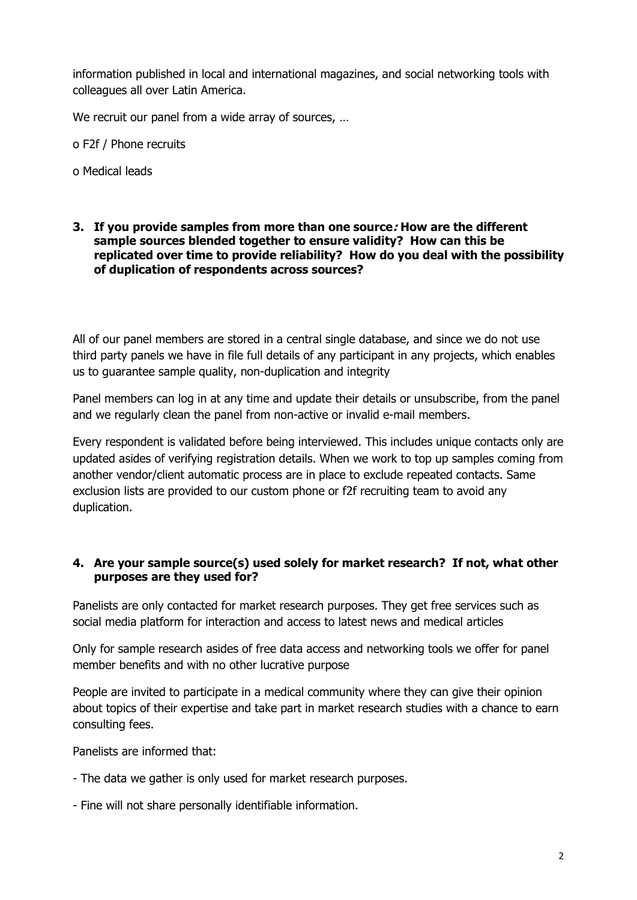information published in local and international magazines, and social networking tools with colleagues all over Latin America.

We recruit our panel from a wide array of sources, …

o F2f / Phone recruits

o Medical leads

#### **3. If you provide samples from more than one source: How are the different sample sources blended together to ensure validity? How can this be replicated over time to provide reliability? How do you deal with the possibility of duplication of respondents across sources?**

All of our panel members are stored in a central single database, and since we do not use third party panels we have in file full details of any participant in any projects, which enables us to guarantee sample quality, non-duplication and integrity

Panel members can log in at any time and update their details or unsubscribe, from the panel and we regularly clean the panel from non-active or invalid e-mail members.

Every respondent is validated before being interviewed. This includes unique contacts only are updated asides of verifying registration details. When we work to top up samples coming from another vendor/client automatic process are in place to exclude repeated contacts. Same exclusion lists are provided to our custom phone or f2f recruiting team to avoid any duplication.

## **4. Are your sample source(s) used solely for market research? If not, what other purposes are they used for?**

Panelists are only contacted for market research purposes. They get free services such as social media platform for interaction and access to latest news and medical articles

Only for sample research asides of free data access and networking tools we offer for panel member benefits and with no other lucrative purpose

People are invited to participate in a medical community where they can give their opinion about topics of their expertise and take part in market research studies with a chance to earn consulting fees.

Panelists are informed that:

- The data we gather is only used for market research purposes.
- Fine will not share personally identifiable information.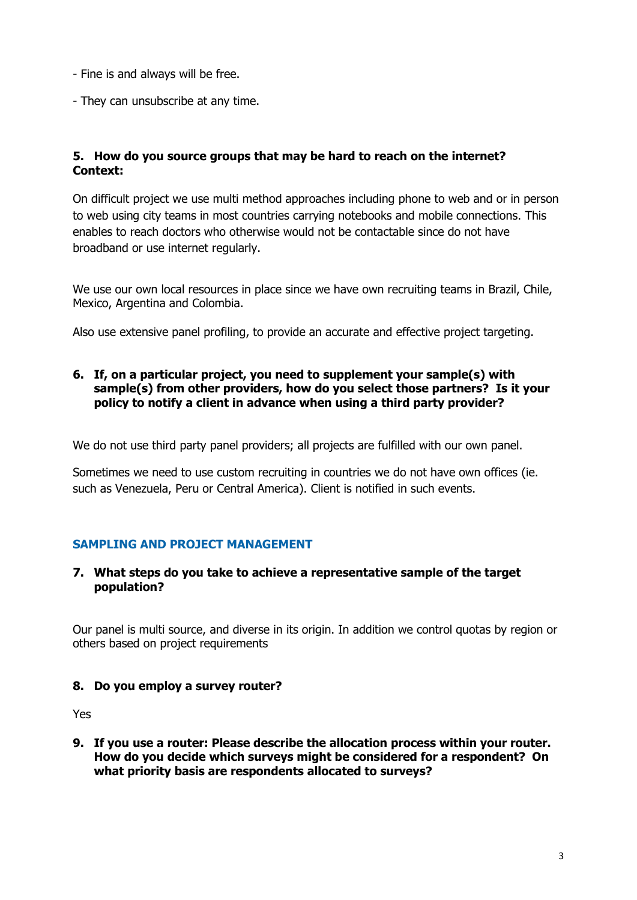- Fine is and always will be free.
- They can unsubscribe at any time.

### **5. How do you source groups that may be hard to reach on the internet? Context:**

On difficult project we use multi method approaches including phone to web and or in person to web using city teams in most countries carrying notebooks and mobile connections. This enables to reach doctors who otherwise would not be contactable since do not have broadband or use internet regularly.

We use our own local resources in place since we have own recruiting teams in Brazil, Chile, Mexico, Argentina and Colombia.

Also use extensive panel profiling, to provide an accurate and effective project targeting.

### **6. If, on a particular project, you need to supplement your sample(s) with sample(s) from other providers, how do you select those partners? Is it your policy to notify a client in advance when using a third party provider?**

We do not use third party panel providers; all projects are fulfilled with our own panel.

Sometimes we need to use custom recruiting in countries we do not have own offices (ie. such as Venezuela, Peru or Central America). Client is notified in such events.

## **SAMPLING AND PROJECT MANAGEMENT**

### **7. What steps do you take to achieve a representative sample of the target population?**

Our panel is multi source, and diverse in its origin. In addition we control quotas by region or others based on project requirements

#### **8. Do you employ a survey router?**

Yes

**9. If you use a router: Please describe the allocation process within your router. How do you decide which surveys might be considered for a respondent? On what priority basis are respondents allocated to surveys?**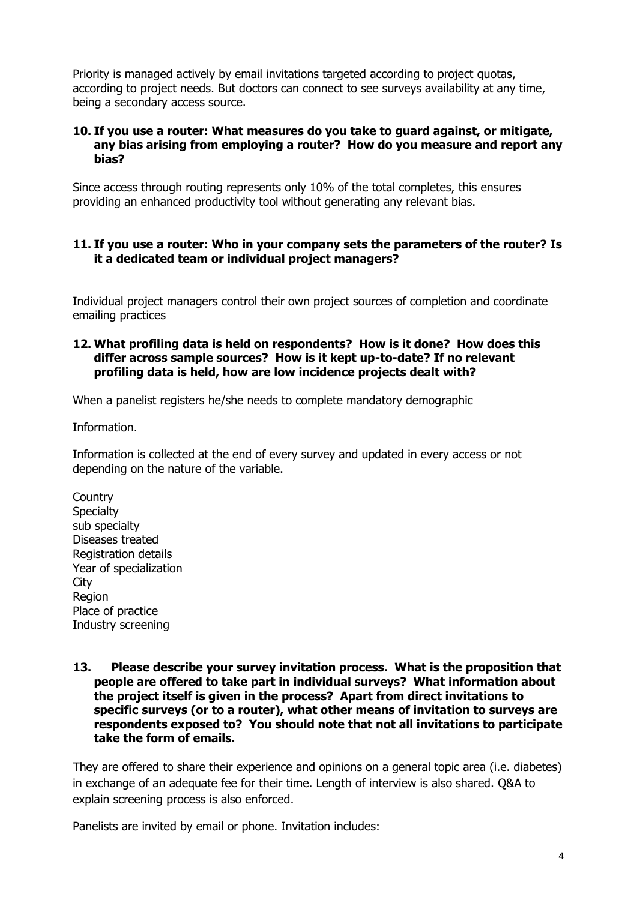Priority is managed actively by email invitations targeted according to project quotas, according to project needs. But doctors can connect to see surveys availability at any time, being a secondary access source.

#### **10. If you use a router: What measures do you take to guard against, or mitigate, any bias arising from employing a router? How do you measure and report any bias?**

Since access through routing represents only 10% of the total completes, this ensures providing an enhanced productivity tool without generating any relevant bias.

### **11. If you use a router: Who in your company sets the parameters of the router? Is it a dedicated team or individual project managers?**

Individual project managers control their own project sources of completion and coordinate emailing practices

#### **12. What profiling data is held on respondents? How is it done? How does this differ across sample sources? How is it kept up-to-date? If no relevant profiling data is held, how are low incidence projects dealt with?**

When a panelist registers he/she needs to complete mandatory demographic

Information.

Information is collected at the end of every survey and updated in every access or not depending on the nature of the variable.

**Country Specialty** sub specialty Diseases treated Registration details Year of specialization **City Region** Place of practice Industry screening

#### **13. Please describe your survey invitation process. What is the proposition that people are offered to take part in individual surveys? What information about the project itself is given in the process? Apart from direct invitations to specific surveys (or to a router), what other means of invitation to surveys are respondents exposed to? You should note that not all invitations to participate take the form of emails.**

They are offered to share their experience and opinions on a general topic area (i.e. diabetes) in exchange of an adequate fee for their time. Length of interview is also shared. Q&A to explain screening process is also enforced.

Panelists are invited by email or phone. Invitation includes: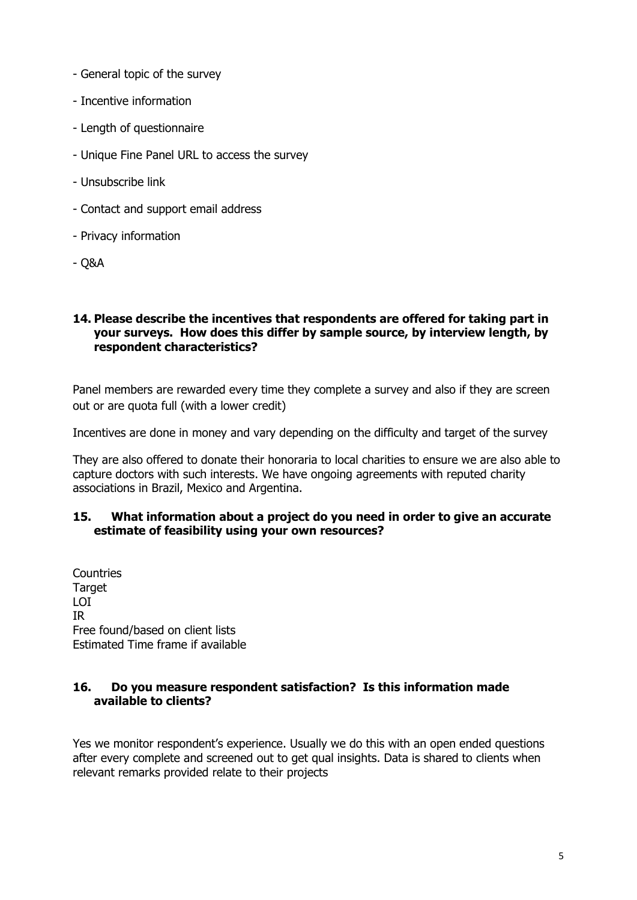- General topic of the survey
- Incentive information
- Length of questionnaire
- Unique Fine Panel URL to access the survey
- Unsubscribe link
- Contact and support email address
- Privacy information
- Q&A

## **14. Please describe the incentives that respondents are offered for taking part in your surveys. How does this differ by sample source, by interview length, by respondent characteristics?**

Panel members are rewarded every time they complete a survey and also if they are screen out or are quota full (with a lower credit)

Incentives are done in money and vary depending on the difficulty and target of the survey

They are also offered to donate their honoraria to local charities to ensure we are also able to capture doctors with such interests. We have ongoing agreements with reputed charity associations in Brazil, Mexico and Argentina.

## **15. What information about a project do you need in order to give an accurate estimate of feasibility using your own resources?**

**Countries Target** LOI IR Free found/based on client lists Estimated Time frame if available

## **16. Do you measure respondent satisfaction? Is this information made available to clients?**

Yes we monitor respondent's experience. Usually we do this with an open ended questions after every complete and screened out to get qual insights. Data is shared to clients when relevant remarks provided relate to their projects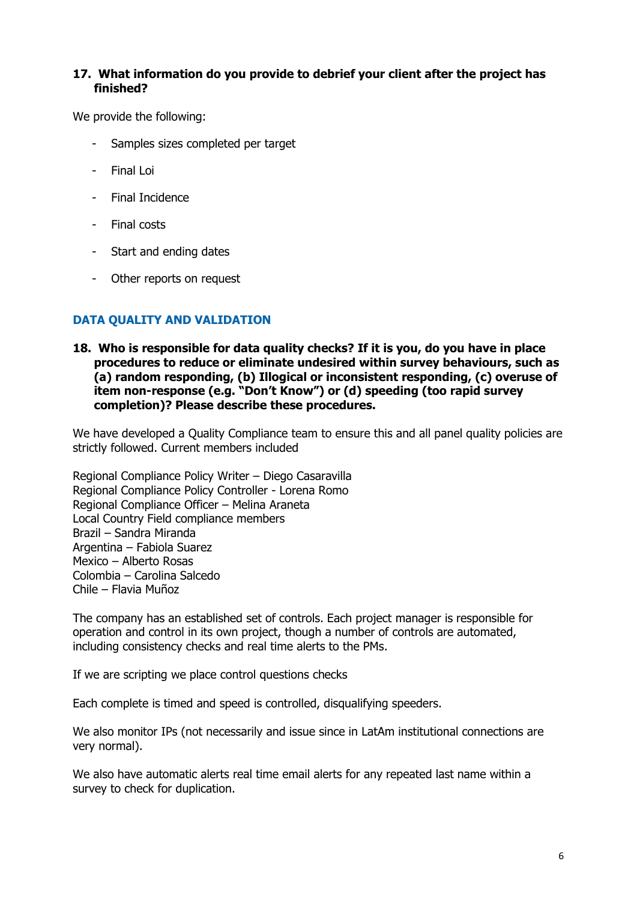### **17. What information do you provide to debrief your client after the project has finished?**

We provide the following:

- Samples sizes completed per target
- Final Loi
- Final Incidence
- Final costs
- Start and ending dates
- Other reports on request

# **DATA QUALITY AND VALIDATION**

**18. Who is responsible for data quality checks? If it is you, do you have in place procedures to reduce or eliminate undesired within survey behaviours, such as (a) random responding, (b) Illogical or inconsistent responding, (c) overuse of item non-response (e.g. "Don't Know") or (d) speeding (too rapid survey completion)? Please describe these procedures.** 

We have developed a Quality Compliance team to ensure this and all panel quality policies are strictly followed. Current members included

Regional Compliance Policy Writer – Diego Casaravilla Regional Compliance Policy Controller - Lorena Romo Regional Compliance Officer – Melina Araneta Local Country Field compliance members Brazil – Sandra Miranda Argentina – Fabiola Suarez Mexico – Alberto Rosas Colombia – Carolina Salcedo Chile – Flavia Muñoz

The company has an established set of controls. Each project manager is responsible for operation and control in its own project, though a number of controls are automated, including consistency checks and real time alerts to the PMs.

If we are scripting we place control questions checks

Each complete is timed and speed is controlled, disqualifying speeders.

We also monitor IPs (not necessarily and issue since in LatAm institutional connections are very normal).

We also have automatic alerts real time email alerts for any repeated last name within a survey to check for duplication.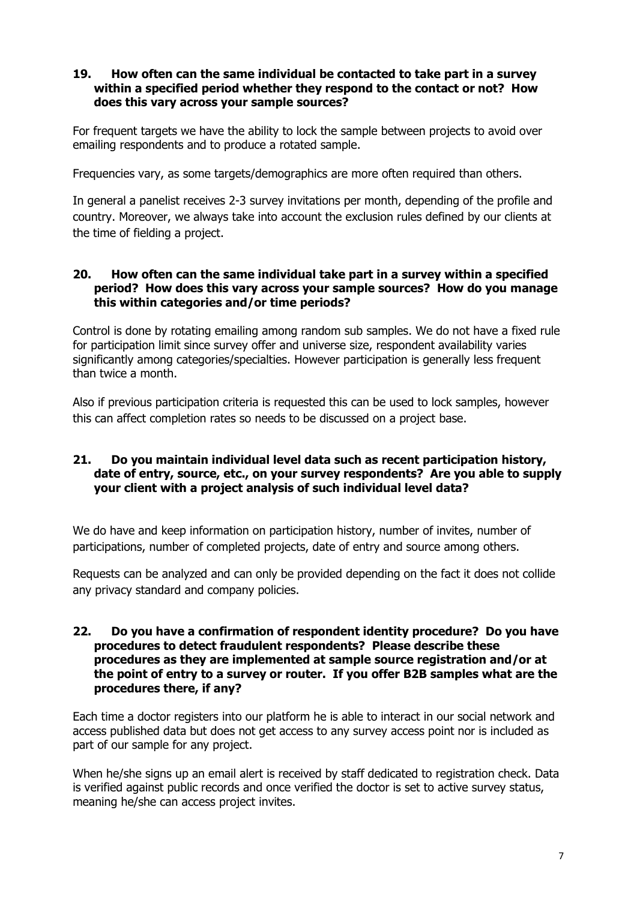### **19. How often can the same individual be contacted to take part in a survey within a specified period whether they respond to the contact or not? How does this vary across your sample sources?**

For frequent targets we have the ability to lock the sample between projects to avoid over emailing respondents and to produce a rotated sample.

Frequencies vary, as some targets/demographics are more often required than others.

In general a panelist receives 2-3 survey invitations per month, depending of the profile and country. Moreover, we always take into account the exclusion rules defined by our clients at the time of fielding a project.

### **20. How often can the same individual take part in a survey within a specified period? How does this vary across your sample sources? How do you manage this within categories and/or time periods?**

Control is done by rotating emailing among random sub samples. We do not have a fixed rule for participation limit since survey offer and universe size, respondent availability varies significantly among categories/specialties. However participation is generally less frequent than twice a month.

Also if previous participation criteria is requested this can be used to lock samples, however this can affect completion rates so needs to be discussed on a project base.

## **21. Do you maintain individual level data such as recent participation history, date of entry, source, etc., on your survey respondents? Are you able to supply your client with a project analysis of such individual level data?**

We do have and keep information on participation history, number of invites, number of participations, number of completed projects, date of entry and source among others.

Requests can be analyzed and can only be provided depending on the fact it does not collide any privacy standard and company policies.

### **22. Do you have a confirmation of respondent identity procedure? Do you have procedures to detect fraudulent respondents? Please describe these procedures as they are implemented at sample source registration and/or at the point of entry to a survey or router. If you offer B2B samples what are the procedures there, if any?**

Each time a doctor registers into our platform he is able to interact in our social network and access published data but does not get access to any survey access point nor is included as part of our sample for any project.

When he/she signs up an email alert is received by staff dedicated to registration check. Data is verified against public records and once verified the doctor is set to active survey status, meaning he/she can access project invites.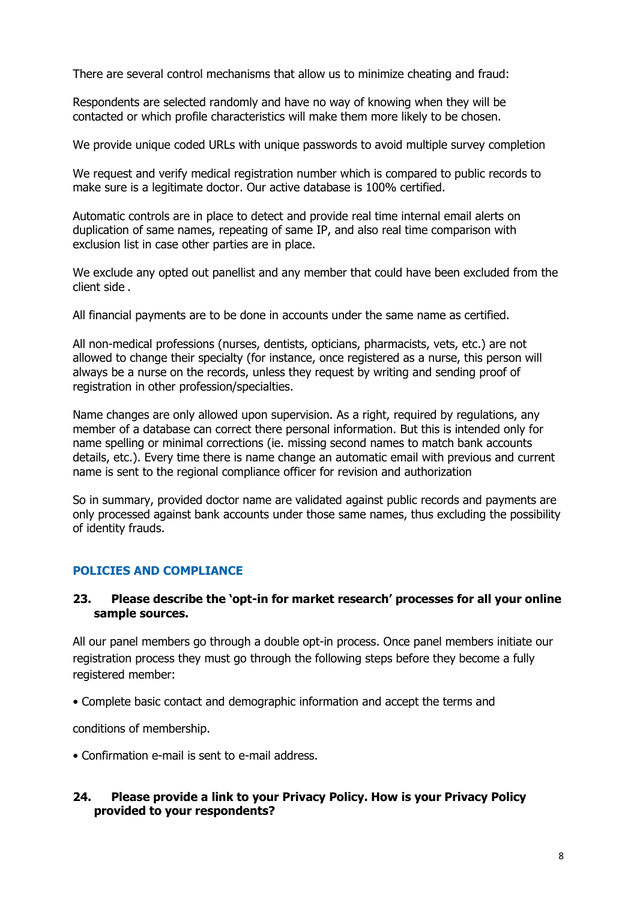There are several control mechanisms that allow us to minimize cheating and fraud:

Respondents are selected randomly and have no way of knowing when they will be contacted or which profile characteristics will make them more likely to be chosen.

We provide unique coded URLs with unique passwords to avoid multiple survey completion

We request and verify medical registration number which is compared to public records to make sure is a legitimate doctor. Our active database is 100% certified.

Automatic controls are in place to detect and provide real time internal email alerts on duplication of same names, repeating of same IP, and also real time comparison with exclusion list in case other parties are in place.

We exclude any opted out panellist and any member that could have been excluded from the client side .

All financial payments are to be done in accounts under the same name as certified.

All non-medical professions (nurses, dentists, opticians, pharmacists, vets, etc.) are not allowed to change their specialty (for instance, once registered as a nurse, this person will always be a nurse on the records, unless they request by writing and sending proof of registration in other profession/specialties.

Name changes are only allowed upon supervision. As a right, required by regulations, any member of a database can correct there personal information. But this is intended only for name spelling or minimal corrections (ie. missing second names to match bank accounts details, etc.). Every time there is name change an automatic email with previous and current name is sent to the regional compliance officer for revision and authorization

So in summary, provided doctor name are validated against public records and payments are only processed against bank accounts under those same names, thus excluding the possibility of identity frauds.

## **POLICIES AND COMPLIANCE**

#### **23. Please describe the 'opt-in for market research' processes for all your online sample sources.**

All our panel members go through a double opt-in process. Once panel members initiate our registration process they must go through the following steps before they become a fully registered member:

• Complete basic contact and demographic information and accept the terms and

conditions of membership.

• Confirmation e-mail is sent to e-mail address.

### **24. Please provide a link to your Privacy Policy. How is your Privacy Policy provided to your respondents?**